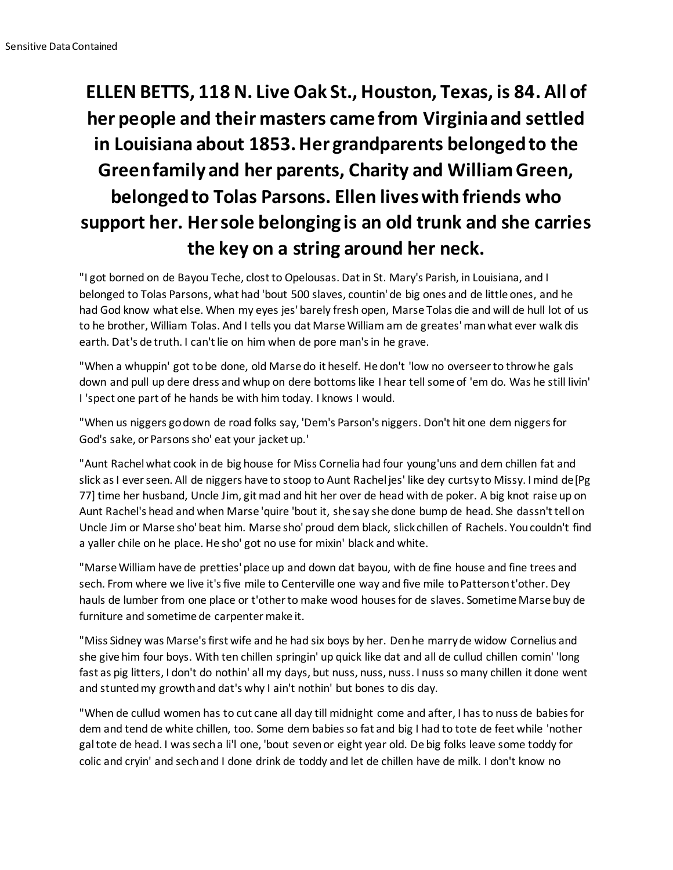## **ELLEN BETTS, 118 N. Live Oak St., Houston, Texas, is 84. All of her people and their masters came from Virginia and settled in Louisiana about 1853. Her grandparents belonged to the Green family and her parents, Charity and William Green, belonged to Tolas Parsons. Ellen lives with friends who support her. Her sole belonging is an old trunk and she carries the key on a string around her neck.**

"I got borned on de Bayou Teche, clost to Opelousas. Dat in St. Mary's Parish, in Louisiana, and I belonged to Tolas Parsons, what had 'bout 500 slaves, countin' de big ones and de little ones, and he had God know what else. When my eyes jes' barely fresh open, Marse Tolas die and will de hull lot of us to he brother, William Tolas. And I tells you dat Marse William am de greates' man what ever walk dis earth. Dat's de truth. I can't lie on him when de pore man's in he grave.

"When a whuppin' got to be done, old Marse do it heself. He don't 'low no overseer to throw he gals down and pull up dere dress and whup on dere bottoms like I hear tell some of 'em do. Was he still livin' I 'spect one part of he hands be with him today. I knows I would.

"When us niggers go down de road folks say, 'Dem's Parson's niggers. Don't hit one dem niggers for God's sake, or Parsons sho' eat your jacket up.'

"Aunt Rachel what cook in de big house for Miss Cornelia had four young'uns and dem chillen fat and slick as I ever seen. All de niggers have to stoop to Aunt Rachel jes' like dey curtsy to Missy. I mind de [Pg 77] time her husband, Uncle Jim, git mad and hit her over de head with de poker. A big knot raise up on Aunt Rachel's head and when Marse 'quire 'bout it, she say she done bump de head. She dassn't tell on Uncle Jim or Marse sho' beat him. Marse sho' proud dem black, slick chillen of Rachels. You couldn't find a yaller chile on he place. He sho' got no use for mixin' black and white.

"Marse William have de pretties' place up and down dat bayou, with de fine house and fine trees and sech. From where we live it's five mile to Centerville one way and five mile to Patterson t'other. Dey hauls de lumber from one place or t'other to make wood houses for de slaves. Sometime Marse buy de furniture and sometime de carpenter make it.

"Miss Sidney was Marse's first wife and he had six boys by her. Den he marry de widow Cornelius and she give him four boys. With ten chillen springin' up quick like dat and all de cullud chillen comin' 'long fast as pig litters, I don't do nothin' all my days, but nuss, nuss, nuss. I nuss so many chillen it done went and stunted my growth and dat's why I ain't nothin' but bones to dis day.

"When de cullud women has to cut cane all day till midnight come and after, I has to nuss de babies for dem and tend de white chillen, too. Some dem babies so fat and big I had to tote de feet while 'nother gal tote de head. I was sech a li'l one, 'bout seven or eight year old. De big folks leave some toddy for colic and cryin' and sech and I done drink de toddy and let de chillen have de milk. I don't know no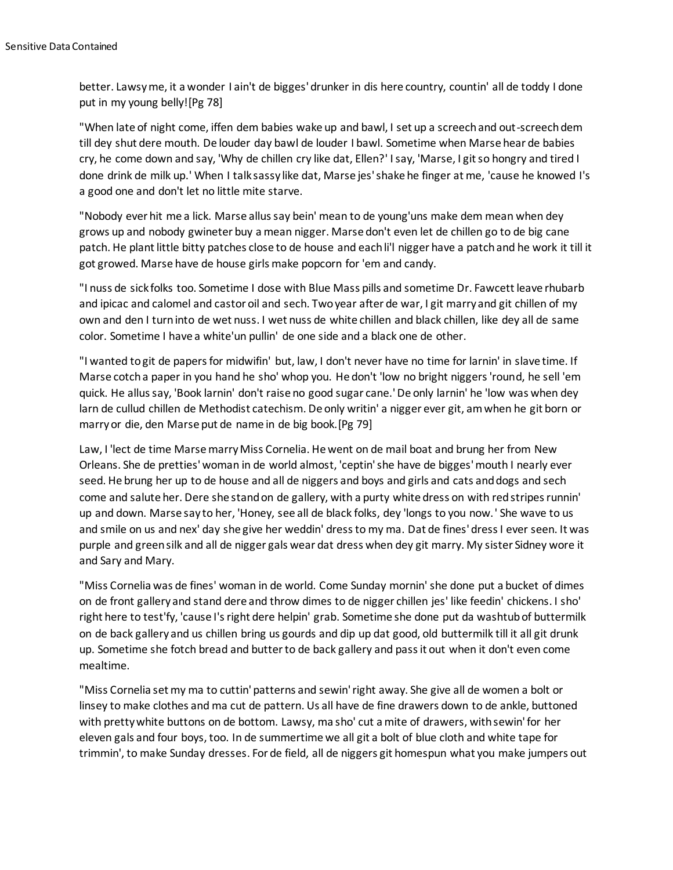better. Lawsy me, it a wonder I ain't de bigges' drunker in dis here country, countin' all de toddy I done put in my young belly![Pg 78]

"When late of night come, iffen dem babies wake up and bawl, I set up a screech and out-screech dem till dey shut dere mouth. De louder day bawl de louder I bawl. Sometime when Marse hear de babies cry, he come down and say, 'Why de chillen cry like dat, Ellen?' I say, 'Marse, I git so hongry and tired I done drink de milk up.' When I talk sassy like dat, Marse jes' shake he finger at me, 'cause he knowed I's a good one and don't let no little mite starve.

"Nobody ever hit me a lick. Marse allus say bein' mean to de young'uns make dem mean when dey grows up and nobody gwineter buy a mean nigger. Marse don't even let de chillen go to de big cane patch. He plant little bitty patches close to de house and each li'l nigger have a patch and he work it till it got growed. Marse have de house girls make popcorn for 'em and candy.

"I nuss de sick folks too. Sometime I dose with Blue Mass pills and sometime Dr. Fawcett leave rhubarb and ipicac and calomel and castor oil and sech. Two year after de war, I git marry and git chillen of my own and den I turn into de wet nuss. I wet nuss de white chillen and black chillen, like dey all de same color. Sometime I have a white'un pullin' de one side and a black one de other.

"I wanted to git de papers for midwifin' but, law, I don't never have no time for larnin' in slave time. If Marse cotch a paper in you hand he sho' whop you. He don't 'low no bright niggers 'round, he sell 'em quick. He allus say, 'Book larnin' don't raise no good sugar cane.' De only larnin' he 'low was when dey larn de cullud chillen de Methodist catechism. De only writin' a nigger ever git, am when he git born or marry or die, den Marse put de name in de big book.[Pg 79]

Law, I 'lect de time Marse marry Miss Cornelia. He went on de mail boat and brung her from New Orleans. She de pretties' woman in de world almost, 'ceptin' she have de bigges' mouth I nearly ever seed. He brung her up to de house and all de niggers and boys and girls and cats and dogs and sech come and salute her. Dere she stand on de gallery, with a purty white dress on with red stripes runnin' up and down. Marse say to her, 'Honey, see all de black folks, dey 'longs to you now.' She wave to us and smile on us and nex' day she give her weddin' dress to my ma. Dat de fines' dress I ever seen. It was purple and green silk and all de nigger gals wear dat dress when dey git marry. My sister Sidney wore it and Sary and Mary.

"Miss Cornelia was de fines' woman in de world. Come Sunday mornin' she done put a bucket of dimes on de front gallery and stand dere and throw dimes to de nigger chillen jes' like feedin' chickens. I sho' right here to test'fy, 'cause I's right dere helpin' grab. Sometime she done put da washtub of buttermilk on de back gallery and us chillen bring us gourds and dip up dat good, old buttermilk till it all git drunk up. Sometime she fotch bread and butter to de back gallery and pass it out when it don't even come mealtime.

"Miss Cornelia set my ma to cuttin' patterns and sewin' right away. She give all de women a bolt or linsey to make clothes and ma cut de pattern. Us all have de fine drawers down to de ankle, buttoned with pretty white buttons on de bottom. Lawsy, ma sho' cut a mite of drawers, with sewin' for her eleven gals and four boys, too. In de summertime we all git a bolt of blue cloth and white tape for trimmin', to make Sunday dresses. For de field, all de niggers git homespun what you make jumpers out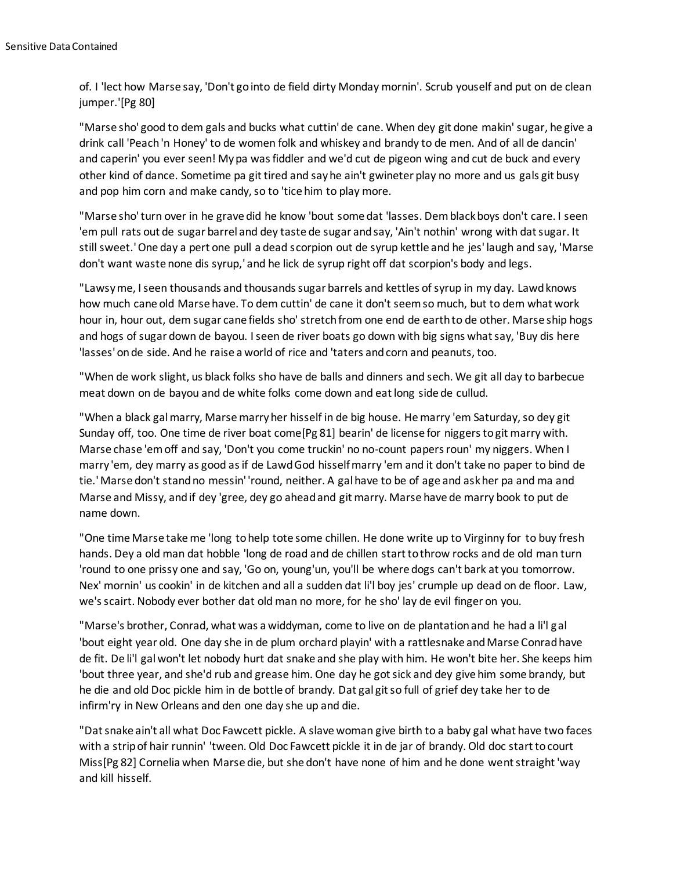of. I 'lect how Marse say, 'Don't go into de field dirty Monday mornin'. Scrub youself and put on de clean jumper.'[Pg 80]

"Marse sho' good to dem gals and bucks what cuttin' de cane. When dey git done makin' sugar, he give a drink call 'Peach 'n Honey' to de women folk and whiskey and brandy to de men. And of all de dancin' and caperin' you ever seen! My pa was fiddler and we'd cut de pigeon wing and cut de buck and every other kind of dance. Sometime pa git tired and say he ain't gwineter play no more and us gals git busy and pop him corn and make candy, so to 'tice him to play more.

"Marse sho' turn over in he grave did he know 'bout some dat 'lasses. Dem black boys don't care. I seen 'em pull rats out de sugar barrel and dey taste de sugar and say, 'Ain't nothin' wrong with dat sugar. It still sweet.' One day a pert one pull a dead scorpion out de syrup kettle and he jes' laugh and say, 'Marse don't want waste none dis syrup,' and he lick de syrup right off dat scorpion's body and legs.

"Lawsy me, I seen thousands and thousands sugar barrels and kettles of syrup in my day. Lawd knows how much cane old Marse have. To dem cuttin' de cane it don't seem so much, but to dem what work hour in, hour out, dem sugar cane fields sho' stretch from one end de earth to de other. Marse ship hogs and hogs of sugar down de bayou. I seen de river boats go down with big signs what say, 'Buy dis here 'lasses' on de side. And he raise a world of rice and 'taters and corn and peanuts, too.

"When de work slight, us black folks sho have de balls and dinners and sech. We git all day to barbecue meat down on de bayou and de white folks come down and eat long side de cullud.

"When a black gal marry, Marse marry her hisself in de big house. He marry 'em Saturday, so dey git Sunday off, too. One time de river boat come[Pg 81] bearin' de license for niggers to git marry with. Marse chase 'em off and say, 'Don't you come truckin' no no-count papers roun' my niggers. When I marry 'em, dey marry as good as if de Lawd God hisself marry 'em and it don't take no paper to bind de tie.' Marse don't stand no messin' 'round, neither. A gal have to be of age and ask her pa and ma and Marse and Missy, and if dey 'gree, dey go ahead and git marry. Marse have de marry book to put de name down.

"One time Marse take me 'long to help tote some chillen. He done write up to Virginny for to buy fresh hands. Dey a old man dat hobble 'long de road and de chillen start to throw rocks and de old man turn 'round to one prissy one and say, 'Go on, young'un, you'll be where dogs can't bark at you tomorrow. Nex' mornin' us cookin' in de kitchen and all a sudden dat li'l boy jes' crumple up dead on de floor. Law, we's scairt. Nobody ever bother dat old man no more, for he sho' lay de evil finger on you.

"Marse's brother, Conrad, what was a widdyman, come to live on de plantation and he had a li'l gal 'bout eight year old. One day she in de plum orchard playin' with a rattlesnake and Marse Conrad have de fit. De li'l gal won't let nobody hurt dat snake and she play with him. He won't bite her. She keeps him 'bout three year, and she'd rub and grease him. One day he got sick and dey give him some brandy, but he die and old Doc pickle him in de bottle of brandy. Dat gal git so full of grief dey take her to de infirm'ry in New Orleans and den one day she up and die.

"Dat snake ain't all what Doc Fawcett pickle. A slave woman give birth to a baby gal what have two faces with a strip of hair runnin' 'tween. Old Doc Fawcett pickle it in de jar of brandy. Old doc start to court Miss[Pg 82] Cornelia when Marse die, but she don't have none of him and he done went straight 'way and kill hisself.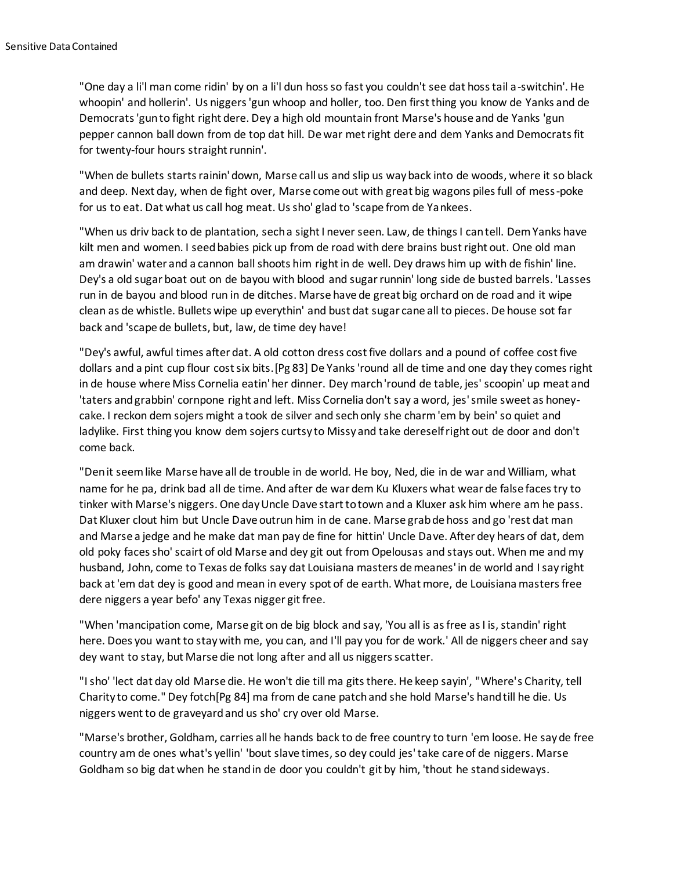"One day a li'l man come ridin' by on a li'l dun hoss so fast you couldn't see dat hoss tail a-switchin'. He whoopin' and hollerin'. Us niggers 'gun whoop and holler, too. Den first thing you know de Yanks and de Democrats 'gun to fight right dere. Dey a high old mountain front Marse's house and de Yanks 'gun pepper cannon ball down from de top dat hill. De war met right dere and dem Yanks and Democrats fit for twenty-four hours straight runnin'.

"When de bullets starts rainin' down, Marse call us and slip us way back into de woods, where it so black and deep. Next day, when de fight over, Marse come out with great big wagons piles full of mess-poke for us to eat. Dat what us call hog meat. Us sho' glad to 'scape from de Yankees.

"When us driv back to de plantation, sech a sight I never seen. Law, de things I can tell. Dem Yanks have kilt men and women. I seed babies pick up from de road with dere brains bust right out. One old man am drawin' water and a cannon ball shoots him right in de well. Dey draws him up with de fishin' line. Dey's a old sugar boat out on de bayou with blood and sugar runnin' long side de busted barrels. 'Lasses run in de bayou and blood run in de ditches. Marse have de great big orchard on de road and it wipe clean as de whistle. Bullets wipe up everythin' and bust dat sugar cane all to pieces. De house sot far back and 'scape de bullets, but, law, de time dey have!

"Dey's awful, awful times after dat. A old cotton dress cost five dollars and a pound of coffee cost five dollars and a pint cup flour cost six bits.[Pg 83] De Yanks 'round all de time and one day they comes right in de house where Miss Cornelia eatin' her dinner. Dey march 'round de table, jes' scoopin' up meat and 'taters and grabbin' cornpone right and left. Miss Cornelia don't say a word, jes' smile sweet as honeycake. I reckon dem sojers might a took de silver and sech only she charm 'em by bein' so quiet and ladylike. First thing you know dem sojers curtsy to Missy and take dereself right out de door and don't come back.

"Den it seem like Marse have all de trouble in de world. He boy, Ned, die in de war and William, what name for he pa, drink bad all de time. And after de war dem Ku Kluxers what wear de false faces try to tinker with Marse's niggers. One day Uncle Dave start to town and a Kluxer ask him where am he pass. Dat Kluxer clout him but Uncle Dave outrun him in de cane. Marse grab de hoss and go 'rest dat man and Marse a jedge and he make dat man pay de fine for hittin' Uncle Dave. After dey hears of dat, dem old poky faces sho' scairt of old Marse and dey git out from Opelousas and stays out. When me and my husband, John, come to Texas de folks say dat Louisiana masters de meanes' in de world and I say right back at 'em dat dey is good and mean in every spot of de earth. What more, de Louisiana masters free dere niggers a year befo' any Texas nigger git free.

"When 'mancipation come, Marse git on de big block and say, 'You all is as free as I is, standin' right here. Does you want to stay with me, you can, and I'll pay you for de work.' All de niggers cheer and say dey want to stay, but Marse die not long after and all us niggers scatter.

"I sho' 'lect dat day old Marse die. He won't die till ma gits there. He keep sayin', "Where's Charity, tell Charity to come." Dey fotch[Pg 84] ma from de cane patch and she hold Marse's hand till he die. Us niggers went to de graveyard and us sho' cry over old Marse.

"Marse's brother, Goldham, carries all he hands back to de free country to turn 'em loose. He say de free country am de ones what's yellin' 'bout slave times, so dey could jes' take care of de niggers. Marse Goldham so big dat when he stand in de door you couldn't git by him, 'thout he stand sideways.